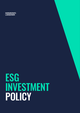#### **HARGREAVES LANSDOWN**

# ESG INVESTMENT POLICY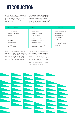## INTRODUCTION

Guided by our purpose and values, our goal is to do the right thing as a leading FTSE 100 financial services company, for our clients, for our colleagues and for the community.

The umbrella term of Environmental, Social and Governance ("ESG") sets out the core values of sustainability and can be used to optimise emerging opportunities and minimise risks. For HL this includes, but is not limited to:

| <b>Environmental Factors</b>             | <b>Social Factors</b>                              | <b>Governance Factors</b>                   |
|------------------------------------------|----------------------------------------------------|---------------------------------------------|
| Climate change                           | Human rights                                       | Bribery and corruption<br>٠                 |
| Resource depletion                       | Diversity and inclusion                            | Remuneration<br>$\bullet$                   |
| Waste                                    | Modern slavery                                     | Board diversity<br>٠                        |
| Biodiversity                             | Employee training                                  | and structure                               |
| Pollution                                | Community engagement                               | Tax strategy<br>$\bullet$                   |
| Deforestation                            | Health and safety                                  | Transparency around<br>governance reporting |
| Supply chain and use<br>of third parties | Pay and reward including<br>Executive compensation | Supply chain                                |

We see ESG as an additional form of due diligence which allows investors to assess and understand the impacts their investments have on the environment and society, and how well the businesses into which they invest are governed.

This policy sets the requirements to ensure that HL considers core ESG factors in our investment decision making as well as identifying and mitigating potential risks to our clients. Not only will this allow us to build a resilient future for all but embedding ESG into long-term decision making supports good risk management.